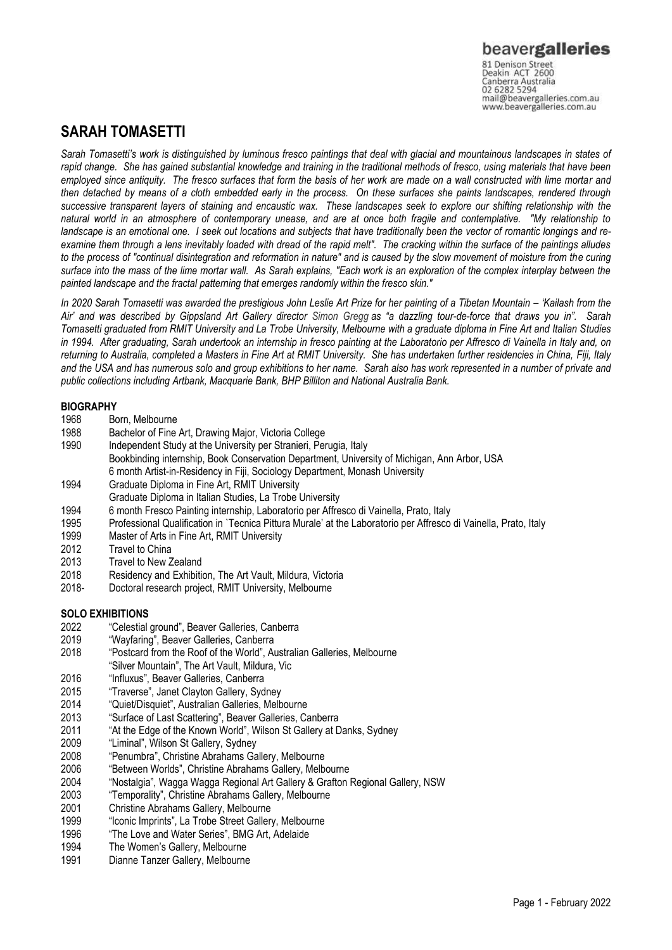81 Denison Street<br>Deakin ACT 2600 Canberra Australia mail@beavergalleries.com.au www.beavergalleries.com.au

# **SARAH TOMASETTI**

*Sarah Tomasetti's work is distinguished by luminous fresco paintings that deal with glacial and mountainous landscapes in states of rapid change. She has gained substantial knowledge and training in the traditional methods of fresco, using materials that have been employed since antiquity. The fresco surfaces that form the basis of her work are made on a wall constructed with lime mortar and then detached by means of a cloth embedded early in the process. On these surfaces she paints landscapes, rendered through successive transparent layers of staining and encaustic wax. These landscapes seek to explore our shifting relationship with the natural world in an atmosphere of contemporary unease, and are at once both fragile and contemplative. "My relationship to landscape is an emotional one. I seek out locations and subjects that have traditionally been the vector of romantic longings and reexamine them through a lens inevitably loaded with dread of the rapid melt". The cracking within the surface of the paintings alludes to the process of "continual disintegration and reformation in nature" and is caused by the slow movement of moisture from the curing surface into the mass of the lime mortar wall. As Sarah explains, "Each work is an exploration of the complex interplay between the painted landscape and the fractal patterning that emerges randomly within the fresco skin."*

*In 2020 Sarah Tomasetti was awarded the prestigious John Leslie Art Prize for her painting of a Tibetan Mountain – 'Kailash from the Air' and was described by Gippsland Art Gallery director Simon Gregg as "a dazzling tour-de-force that draws you in". Sarah Tomasetti graduated from RMIT University and La Trobe University, Melbourne with a graduate diploma in Fine Art and Italian Studies in 1994. After graduating, Sarah undertook an internship in fresco painting at the Laboratorio per Affresco di Vainella in Italy and, on returning to Australia, completed a Masters in Fine Art at RMIT University. She has undertaken further residencies in China, Fiji, Italy and the USA and has numerous solo and group exhibitions to her name. Sarah also has work represented in a number of private and public collections including Artbank, Macquarie Bank, BHP Billiton and National Australia Bank.*

## **BIOGRAPHY**

- 1968 Born, Melbourne
- 1988 Bachelor of Fine Art, Drawing Major, Victoria College<br>1990 Independent Study at the University per Stranieri. Per
- Independent Study at the University per Stranieri, Perugia, Italy Bookbinding internship, Book Conservation Department, University of Michigan, Ann Arbor, USA
- 6 month Artist-in-Residency in Fiji, Sociology Department, Monash University
- 1994 Graduate Diploma in Fine Art, RMIT University
- Graduate Diploma in Italian Studies, La Trobe University
- 1994 6 month Fresco Painting internship, Laboratorio per Affresco di Vainella, Prato, Italy
- 1995 Professional Qualification in `Tecnica Pittura Murale' at the Laboratorio per Affresco di Vainella, Prato, Italy
- 1999 Master of Arts in Fine Art, RMIT University<br>2012 Travel to China
- 2012 Travel to China<br>2013 Travel to New Z
- 2013 Travel to New Zealand<br>2018 Residency and Exhibiti
- 2018 Residency and Exhibition, The Art Vault, Mildura, Victoria<br>2018 – Doctoral research proiect, RMIT University, Melbourne
- Doctoral research project, RMIT University, Melbourne

## **SOLO EXHIBITIONS**

- 2022 "Celestial ground", Beaver Galleries, Canberra
- 2019 "Wayfaring", Beaver Galleries, Canberra
- 2018 "Postcard from the Roof of the World", Australian Galleries, Melbourne "Silver Mountain", The Art Vault, Mildura, Vic
- 2016 "Influxus", Beaver Galleries, Canberra
- 2015 "Traverse", Janet Clayton Gallery, Sydney
- 2014 "Quiet/Disquiet", Australian Galleries, Melbourne
- 2013 "Surface of Last Scattering", Beaver Galleries, Canberra
- 2011 "At the Edge of the Known World", Wilson St Gallery at Danks, Sydney
- 2009 "Liminal", Wilson St Gallery, Sydney
- 2008 "Penumbra", Christine Abrahams Gallery, Melbourne
- 2006 "Between Worlds", Christine Abrahams Gallery, Melbourne
- 2004 "Nostalgia", Wagga Wagga Regional Art Gallery & Grafton Regional Gallery, NSW
- 2003 "Temporality", Christine Abrahams Gallery, Melbourne
- 2001 Christine Abrahams Gallery, Melbourne
- 1999 "Iconic Imprints", La Trobe Street Gallery, Melbourne
- 1996 "The Love and Water Series", BMG Art, Adelaide
- 1994 The Women's Gallery, Melbourne<br>1991 Dianne Tanzer Gallery, Melbourne
- Dianne Tanzer Gallery, Melbourne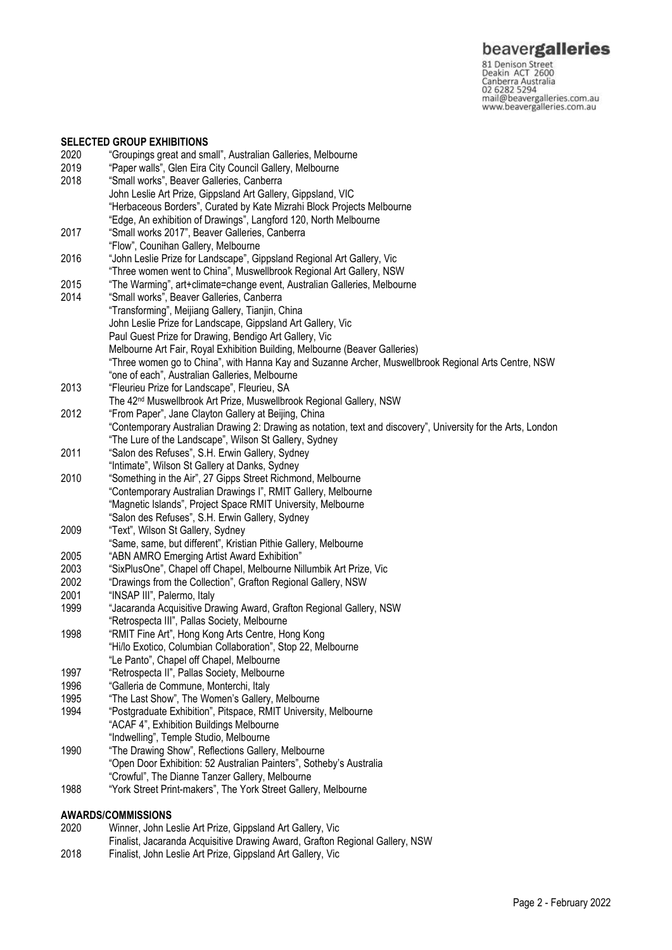**beavergalleries**<br> **S1 Denison Street**<br>
Deakin ACT 2600<br>
Canberra Australia<br>
02 6282 5294<br>
mail@beavergalleries.com.au<br>
www.beavergalleries.com.au

#### **SELECTED GROUP EXHIBITIONS**

| 2020 | "Groupings great and small", Australian Galleries, Melbourne                                                                            |
|------|-----------------------------------------------------------------------------------------------------------------------------------------|
| 2019 | "Paper walls", Glen Eira City Council Gallery, Melbourne                                                                                |
| 2018 | "Small works", Beaver Galleries, Canberra                                                                                               |
|      | John Leslie Art Prize, Gippsland Art Gallery, Gippsland, VIC                                                                            |
|      | "Herbaceous Borders", Curated by Kate Mizrahi Block Projects Melbourne                                                                  |
|      | "Edge, An exhibition of Drawings", Langford 120, North Melbourne                                                                        |
| 2017 | "Small works 2017", Beaver Galleries, Canberra                                                                                          |
|      | "Flow", Counihan Gallery, Melbourne                                                                                                     |
| 2016 | "John Leslie Prize for Landscape", Gippsland Regional Art Gallery, Vic                                                                  |
|      | "Three women went to China", Muswellbrook Regional Art Gallery, NSW                                                                     |
| 2015 | "The Warming", art+climate=change event, Australian Galleries, Melbourne                                                                |
| 2014 | "Small works", Beaver Galleries, Canberra                                                                                               |
|      | "Transforming", Meijiang Gallery, Tianjin, China                                                                                        |
|      | John Leslie Prize for Landscape, Gippsland Art Gallery, Vic                                                                             |
|      | Paul Guest Prize for Drawing, Bendigo Art Gallery, Vic                                                                                  |
|      | Melbourne Art Fair, Royal Exhibition Building, Melbourne (Beaver Galleries)                                                             |
|      | "Three women go to China", with Hanna Kay and Suzanne Archer, Muswellbrook Regional Arts Centre, NSW                                    |
|      | "one of each", Australian Galleries, Melbourne                                                                                          |
| 2013 | "Fleurieu Prize for Landscape", Fleurieu, SA                                                                                            |
| 2012 | The 42 <sup>nd</sup> Muswellbrook Art Prize, Muswellbrook Regional Gallery, NSW<br>"From Paper", Jane Clayton Gallery at Beijing, China |
|      | "Contemporary Australian Drawing 2: Drawing as notation, text and discovery", University for the Arts, London                           |
|      | "The Lure of the Landscape", Wilson St Gallery, Sydney                                                                                  |
| 2011 | "Salon des Refuses", S.H. Erwin Gallery, Sydney                                                                                         |
|      | "Intimate", Wilson St Gallery at Danks, Sydney                                                                                          |
| 2010 | "Something in the Air", 27 Gipps Street Richmond, Melbourne                                                                             |
|      | "Contemporary Australian Drawings I", RMIT Gallery, Melbourne                                                                           |
|      | "Magnetic Islands", Project Space RMIT University, Melbourne                                                                            |
|      | "Salon des Refuses", S.H. Erwin Gallery, Sydney                                                                                         |
| 2009 | "Text", Wilson St Gallery, Sydney                                                                                                       |
|      | "Same, same, but different", Kristian Pithie Gallery, Melbourne                                                                         |
| 2005 | "ABN AMRO Emerging Artist Award Exhibition"                                                                                             |
| 2003 | "SixPlusOne", Chapel off Chapel, Melbourne Nillumbik Art Prize, Vic                                                                     |
| 2002 | "Drawings from the Collection", Grafton Regional Gallery, NSW                                                                           |
| 2001 | "INSAP III", Palermo, Italy                                                                                                             |
| 1999 | "Jacaranda Acquisitive Drawing Award, Grafton Regional Gallery, NSW                                                                     |
|      | "Retrospecta III", Pallas Society, Melbourne                                                                                            |
| 1998 | "RMIT Fine Art", Hong Kong Arts Centre, Hong Kong                                                                                       |
|      | "Hi/lo Exotico, Columbian Collaboration", Stop 22, Melbourne                                                                            |
|      | "Le Panto", Chapel off Chapel, Melbourne                                                                                                |
| 1997 | "Retrospecta II", Pallas Society, Melbourne                                                                                             |
| 1996 | "Galleria de Commune, Monterchi, Italy                                                                                                  |
| 1995 | "The Last Show", The Women's Gallery, Melbourne                                                                                         |
| 1994 | "Postgraduate Exhibition", Pitspace, RMIT University, Melbourne                                                                         |
|      | "ACAF 4", Exhibition Buildings Melbourne                                                                                                |
|      | "Indwelling", Temple Studio, Melbourne                                                                                                  |
| 1990 | "The Drawing Show", Reflections Gallery, Melbourne                                                                                      |
|      | "Open Door Exhibition: 52 Australian Painters", Sotheby's Australia                                                                     |
|      | "Crowful", The Dianne Tanzer Gallery, Melbourne                                                                                         |
| 1988 | "York Street Print-makers", The York Street Gallery, Melbourne                                                                          |
|      |                                                                                                                                         |

## **AWARDS/COMMISSIONS**

| 2020 | Winner, John Leslie Art Prize, Gippsland Art Gallery, Vic                    |
|------|------------------------------------------------------------------------------|
|      | Finalist, Jacaranda Acquisitive Drawing Award, Grafton Regional Gallery, NSW |
| 2018 | Finalist, John Leslie Art Prize, Gippsland Art Gallery, Vic                  |